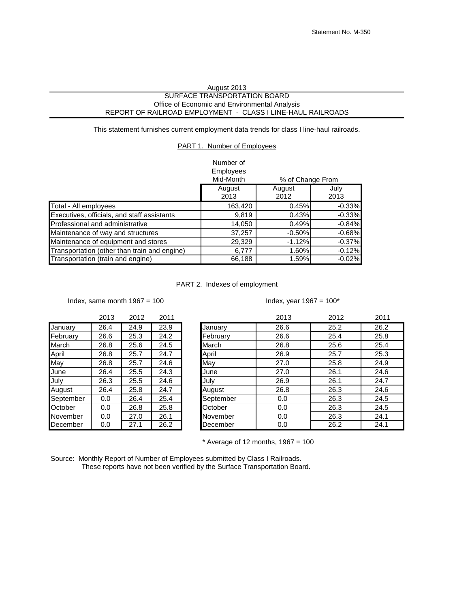## August 2013 SURFACE TRANSPORTATION BOARD Office of Economic and Environmental Analysis REPORT OF RAILROAD EMPLOYMENT - CLASS I LINE-HAUL RAILROADS

This statement furnishes current employment data trends for class I line-haul railroads.

## PART 1. Number of Employees

| Number of |  |
|-----------|--|
| E         |  |

|                                              | Employees<br>Mid-Month<br>% of Change From |                |              |  |  |
|----------------------------------------------|--------------------------------------------|----------------|--------------|--|--|
|                                              | August<br>2013                             | August<br>2012 | July<br>2013 |  |  |
| Total - All employees                        | 163,420                                    | 0.45%          | $-0.33%$     |  |  |
| Executives, officials, and staff assistants  | 9,819                                      | 0.43%          | $-0.33%$     |  |  |
| <b>Professional and administrative</b>       | 14,050                                     | 0.49%          | $-0.84%$     |  |  |
| Maintenance of way and structures            | 37,257                                     | $-0.50%$       | $-0.68%$     |  |  |
| Maintenance of equipment and stores          | 29,329                                     | $-1.12%$       | $-0.37%$     |  |  |
| Transportation (other than train and engine) | 6,777                                      | 1.60%          | $-0.12%$     |  |  |
| Transportation (train and engine)            | 66,188                                     | 1.59%          | $-0.02%$     |  |  |

## PART 2. Indexes of employment

Index, same month  $1967 = 100$  Index, year  $1967 = 100^*$ 

| . <i>. .</i> | on a | . | ----<br>-<br>- |
|--------------|------|---|----------------|
|              |      |   |                |
|              |      |   |                |
|              |      |   |                |

|           | 20 I O | 2012 | 2 U L |
|-----------|--------|------|-------|
| January   | 26.4   | 24.9 | 23.9  |
| February  | 26.6   | 25.3 | 24.2  |
| March     | 26.8   | 25.6 | 24.5  |
| April     | 26.8   | 25.7 | 24.7  |
| May       | 26.8   | 25.7 | 24.6  |
| June      | 26.4   | 25.5 | 24.3  |
| July      | 26.3   | 25.5 | 24.6  |
| August    | 26.4   | 25.8 | 24.7  |
| September | 0.0    | 26.4 | 25.4  |
| October   | 0.0    | 26.8 | 25.8  |
| November  | 0.0    | 27.0 | 26.1  |
| December  | 0.0    | 27.1 | 26.2  |
|           |        |      |       |

|           | 2013 | 2012 | 2011 |           | 2013 | 2012 | 2011 |
|-----------|------|------|------|-----------|------|------|------|
| January   | 26.4 | 24.9 | 23.9 | January   | 26.6 | 25.2 | 26.2 |
| February  | 26.6 | 25.3 | 24.2 | February  | 26.6 | 25.4 | 25.8 |
| March     | 26.8 | 25.6 | 24.5 | March     | 26.8 | 25.6 | 25.4 |
| April     | 26.8 | 25.7 | 24.7 | April     | 26.9 | 25.7 | 25.3 |
| May       | 26.8 | 25.7 | 24.6 | May       | 27.0 | 25.8 | 24.9 |
| June      | 26.4 | 25.5 | 24.3 | June      | 27.0 | 26.1 | 24.6 |
| July      | 26.3 | 25.5 | 24.6 | July      | 26.9 | 26.1 | 24.7 |
| August    | 26.4 | 25.8 | 24.7 | August    | 26.8 | 26.3 | 24.6 |
| September | 0.0  | 26.4 | 25.4 | September | 0.0  | 26.3 | 24.5 |
| October   | 0.0  | 26.8 | 25.8 | October   | 0.0  | 26.3 | 24.5 |
| November  | 0.0  | 27.0 | 26.1 | November  | 0.0  | 26.3 | 24.1 |
| December  | 0.0  | 27.1 | 26.2 | December  | 0.0  | 26.2 | 24.1 |
|           |      |      |      |           |      |      |      |

 $*$  Average of 12 months, 1967 = 100

Source: Monthly Report of Number of Employees submitted by Class I Railroads. These reports have not been verified by the Surface Transportation Board.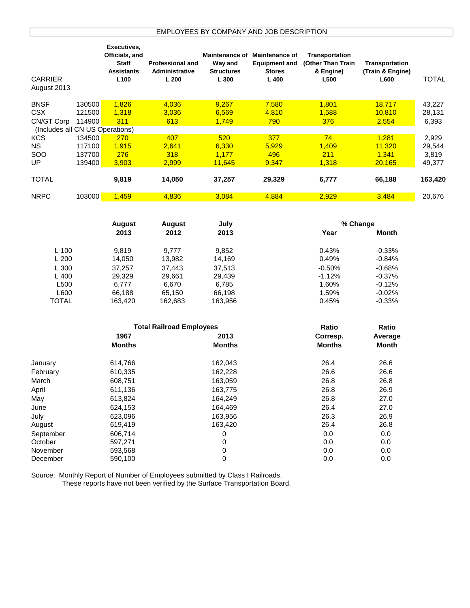| Officials, and<br>Maintenance of Maintenance of<br><b>Staff</b><br>(Other Than Train<br>Transportation<br><b>Professional and</b><br>Way and<br><b>Equipment and</b><br><b>Assistants</b><br>Administrative<br><b>Structures</b><br>& Engine)<br>(Train & Engine)<br><b>Stores</b><br><b>CARRIER</b><br><b>TOTAL</b><br>L100<br>L200<br>L 300<br>L400<br>L500<br>L600<br>130500<br>1,826<br>4,036<br>9,267<br>7,580<br>1,801<br>18,717<br>43,227<br>1,318<br>3,036<br>6,569<br>4,810<br>1,588<br>10,810<br>121500<br>28,131<br>114900<br>311<br>613<br>1,749<br>790<br>376<br>2,554<br>6,393<br>(Includes all CN US Operations)<br>74<br><b>KCS</b><br>134500<br>270<br>407<br>520<br>377<br>2,929<br>1,281<br><b>NS</b><br>117100<br>1,915<br>2,641<br>6,330<br>5,929<br>1,409<br>11,320<br>29,544<br>276<br>318<br>211<br>1,341<br>SOO<br>137700<br>1,177<br>496<br>3,819<br>UP<br>3,903<br>2,999<br>9,347<br>1,318<br>20,165<br>49,377<br>139400<br>11,645<br><b>TOTAL</b><br>9,819<br>14,050<br>37,257<br>163,420<br>29,329<br>6,777<br>66,188<br>103000<br>1,459<br>4,836<br>3,084<br>4,884<br>2,929<br>20,676<br>3,484<br><b>August</b><br><b>August</b><br>July<br>% Change<br>2013<br>2012<br>2013<br>Year<br><b>Month</b><br>L 100<br>9,819<br>0.43%<br>9,777<br>9,852<br>$-0.33%$<br>L 200<br>0.49%<br>14,050<br>13,982<br>14,169<br>$-0.84%$<br>$-0.68%$<br>L 300<br>37,257<br>37,443<br>37,513<br>$-0.50%$<br>L400<br>$-1.12%$<br>$-0.37%$<br>29,329<br>29,661<br>29,439<br>1.60%<br>L500<br>6,777<br>6,670<br>6,785<br>$-0.12%$<br>L600<br>1.59%<br>$-0.02%$<br>66,188<br>65,150<br>66,198<br><b>TOTAL</b><br>0.45%<br>$-0.33%$<br>163,420<br>162,683<br>163,956<br>Ratio<br>Ratio<br><b>Total Railroad Employees</b><br>1967<br>2013<br>Corresp.<br>Average<br><b>Months</b><br><b>Months</b><br><b>Months</b><br><b>Month</b><br>26.4<br>162,043<br>26.6<br>614,766<br>26.6<br>26.6<br>610,335<br>162,228<br>26.8<br>608,751<br>163,059<br>26.8<br>163,775<br>26.8<br>26.9<br>611,136<br>26.8<br>27.0<br>613,824<br>164,249<br>26.4<br>27.0<br>624,153<br>164,469<br>26.3<br>July<br>623,096<br>163,956<br>26.9<br>26.4<br>163,420<br>26.8<br>August<br>619,419<br>606,714<br>0<br>0.0<br>0.0<br>September<br>0<br>0.0<br>0.0<br>October<br>597,271 |             | Executives, |  |                |  |
|--------------------------------------------------------------------------------------------------------------------------------------------------------------------------------------------------------------------------------------------------------------------------------------------------------------------------------------------------------------------------------------------------------------------------------------------------------------------------------------------------------------------------------------------------------------------------------------------------------------------------------------------------------------------------------------------------------------------------------------------------------------------------------------------------------------------------------------------------------------------------------------------------------------------------------------------------------------------------------------------------------------------------------------------------------------------------------------------------------------------------------------------------------------------------------------------------------------------------------------------------------------------------------------------------------------------------------------------------------------------------------------------------------------------------------------------------------------------------------------------------------------------------------------------------------------------------------------------------------------------------------------------------------------------------------------------------------------------------------------------------------------------------------------------------------------------------------------------------------------------------------------------------------------------------------------------------------------------------------------------------------------------------------------------------------------------------------------------------------------------------------------------------------------------------------------------------------------------------------------------------------------------|-------------|-------------|--|----------------|--|
|                                                                                                                                                                                                                                                                                                                                                                                                                                                                                                                                                                                                                                                                                                                                                                                                                                                                                                                                                                                                                                                                                                                                                                                                                                                                                                                                                                                                                                                                                                                                                                                                                                                                                                                                                                                                                                                                                                                                                                                                                                                                                                                                                                                                                                                                    |             |             |  | Transportation |  |
|                                                                                                                                                                                                                                                                                                                                                                                                                                                                                                                                                                                                                                                                                                                                                                                                                                                                                                                                                                                                                                                                                                                                                                                                                                                                                                                                                                                                                                                                                                                                                                                                                                                                                                                                                                                                                                                                                                                                                                                                                                                                                                                                                                                                                                                                    |             |             |  |                |  |
|                                                                                                                                                                                                                                                                                                                                                                                                                                                                                                                                                                                                                                                                                                                                                                                                                                                                                                                                                                                                                                                                                                                                                                                                                                                                                                                                                                                                                                                                                                                                                                                                                                                                                                                                                                                                                                                                                                                                                                                                                                                                                                                                                                                                                                                                    |             |             |  |                |  |
|                                                                                                                                                                                                                                                                                                                                                                                                                                                                                                                                                                                                                                                                                                                                                                                                                                                                                                                                                                                                                                                                                                                                                                                                                                                                                                                                                                                                                                                                                                                                                                                                                                                                                                                                                                                                                                                                                                                                                                                                                                                                                                                                                                                                                                                                    |             |             |  |                |  |
|                                                                                                                                                                                                                                                                                                                                                                                                                                                                                                                                                                                                                                                                                                                                                                                                                                                                                                                                                                                                                                                                                                                                                                                                                                                                                                                                                                                                                                                                                                                                                                                                                                                                                                                                                                                                                                                                                                                                                                                                                                                                                                                                                                                                                                                                    | August 2013 |             |  |                |  |
|                                                                                                                                                                                                                                                                                                                                                                                                                                                                                                                                                                                                                                                                                                                                                                                                                                                                                                                                                                                                                                                                                                                                                                                                                                                                                                                                                                                                                                                                                                                                                                                                                                                                                                                                                                                                                                                                                                                                                                                                                                                                                                                                                                                                                                                                    | <b>BNSF</b> |             |  |                |  |
|                                                                                                                                                                                                                                                                                                                                                                                                                                                                                                                                                                                                                                                                                                                                                                                                                                                                                                                                                                                                                                                                                                                                                                                                                                                                                                                                                                                                                                                                                                                                                                                                                                                                                                                                                                                                                                                                                                                                                                                                                                                                                                                                                                                                                                                                    | CSX         |             |  |                |  |
|                                                                                                                                                                                                                                                                                                                                                                                                                                                                                                                                                                                                                                                                                                                                                                                                                                                                                                                                                                                                                                                                                                                                                                                                                                                                                                                                                                                                                                                                                                                                                                                                                                                                                                                                                                                                                                                                                                                                                                                                                                                                                                                                                                                                                                                                    | CN/GT Corp  |             |  |                |  |
|                                                                                                                                                                                                                                                                                                                                                                                                                                                                                                                                                                                                                                                                                                                                                                                                                                                                                                                                                                                                                                                                                                                                                                                                                                                                                                                                                                                                                                                                                                                                                                                                                                                                                                                                                                                                                                                                                                                                                                                                                                                                                                                                                                                                                                                                    |             |             |  |                |  |
|                                                                                                                                                                                                                                                                                                                                                                                                                                                                                                                                                                                                                                                                                                                                                                                                                                                                                                                                                                                                                                                                                                                                                                                                                                                                                                                                                                                                                                                                                                                                                                                                                                                                                                                                                                                                                                                                                                                                                                                                                                                                                                                                                                                                                                                                    |             |             |  |                |  |
|                                                                                                                                                                                                                                                                                                                                                                                                                                                                                                                                                                                                                                                                                                                                                                                                                                                                                                                                                                                                                                                                                                                                                                                                                                                                                                                                                                                                                                                                                                                                                                                                                                                                                                                                                                                                                                                                                                                                                                                                                                                                                                                                                                                                                                                                    |             |             |  |                |  |
|                                                                                                                                                                                                                                                                                                                                                                                                                                                                                                                                                                                                                                                                                                                                                                                                                                                                                                                                                                                                                                                                                                                                                                                                                                                                                                                                                                                                                                                                                                                                                                                                                                                                                                                                                                                                                                                                                                                                                                                                                                                                                                                                                                                                                                                                    |             |             |  |                |  |
|                                                                                                                                                                                                                                                                                                                                                                                                                                                                                                                                                                                                                                                                                                                                                                                                                                                                                                                                                                                                                                                                                                                                                                                                                                                                                                                                                                                                                                                                                                                                                                                                                                                                                                                                                                                                                                                                                                                                                                                                                                                                                                                                                                                                                                                                    |             |             |  |                |  |
|                                                                                                                                                                                                                                                                                                                                                                                                                                                                                                                                                                                                                                                                                                                                                                                                                                                                                                                                                                                                                                                                                                                                                                                                                                                                                                                                                                                                                                                                                                                                                                                                                                                                                                                                                                                                                                                                                                                                                                                                                                                                                                                                                                                                                                                                    |             |             |  |                |  |
|                                                                                                                                                                                                                                                                                                                                                                                                                                                                                                                                                                                                                                                                                                                                                                                                                                                                                                                                                                                                                                                                                                                                                                                                                                                                                                                                                                                                                                                                                                                                                                                                                                                                                                                                                                                                                                                                                                                                                                                                                                                                                                                                                                                                                                                                    | <b>NRPC</b> |             |  |                |  |
|                                                                                                                                                                                                                                                                                                                                                                                                                                                                                                                                                                                                                                                                                                                                                                                                                                                                                                                                                                                                                                                                                                                                                                                                                                                                                                                                                                                                                                                                                                                                                                                                                                                                                                                                                                                                                                                                                                                                                                                                                                                                                                                                                                                                                                                                    |             |             |  |                |  |
|                                                                                                                                                                                                                                                                                                                                                                                                                                                                                                                                                                                                                                                                                                                                                                                                                                                                                                                                                                                                                                                                                                                                                                                                                                                                                                                                                                                                                                                                                                                                                                                                                                                                                                                                                                                                                                                                                                                                                                                                                                                                                                                                                                                                                                                                    |             |             |  |                |  |
|                                                                                                                                                                                                                                                                                                                                                                                                                                                                                                                                                                                                                                                                                                                                                                                                                                                                                                                                                                                                                                                                                                                                                                                                                                                                                                                                                                                                                                                                                                                                                                                                                                                                                                                                                                                                                                                                                                                                                                                                                                                                                                                                                                                                                                                                    |             |             |  |                |  |
|                                                                                                                                                                                                                                                                                                                                                                                                                                                                                                                                                                                                                                                                                                                                                                                                                                                                                                                                                                                                                                                                                                                                                                                                                                                                                                                                                                                                                                                                                                                                                                                                                                                                                                                                                                                                                                                                                                                                                                                                                                                                                                                                                                                                                                                                    |             |             |  |                |  |
|                                                                                                                                                                                                                                                                                                                                                                                                                                                                                                                                                                                                                                                                                                                                                                                                                                                                                                                                                                                                                                                                                                                                                                                                                                                                                                                                                                                                                                                                                                                                                                                                                                                                                                                                                                                                                                                                                                                                                                                                                                                                                                                                                                                                                                                                    |             |             |  |                |  |
|                                                                                                                                                                                                                                                                                                                                                                                                                                                                                                                                                                                                                                                                                                                                                                                                                                                                                                                                                                                                                                                                                                                                                                                                                                                                                                                                                                                                                                                                                                                                                                                                                                                                                                                                                                                                                                                                                                                                                                                                                                                                                                                                                                                                                                                                    |             |             |  |                |  |
|                                                                                                                                                                                                                                                                                                                                                                                                                                                                                                                                                                                                                                                                                                                                                                                                                                                                                                                                                                                                                                                                                                                                                                                                                                                                                                                                                                                                                                                                                                                                                                                                                                                                                                                                                                                                                                                                                                                                                                                                                                                                                                                                                                                                                                                                    |             |             |  |                |  |
|                                                                                                                                                                                                                                                                                                                                                                                                                                                                                                                                                                                                                                                                                                                                                                                                                                                                                                                                                                                                                                                                                                                                                                                                                                                                                                                                                                                                                                                                                                                                                                                                                                                                                                                                                                                                                                                                                                                                                                                                                                                                                                                                                                                                                                                                    |             |             |  |                |  |
|                                                                                                                                                                                                                                                                                                                                                                                                                                                                                                                                                                                                                                                                                                                                                                                                                                                                                                                                                                                                                                                                                                                                                                                                                                                                                                                                                                                                                                                                                                                                                                                                                                                                                                                                                                                                                                                                                                                                                                                                                                                                                                                                                                                                                                                                    |             |             |  |                |  |
|                                                                                                                                                                                                                                                                                                                                                                                                                                                                                                                                                                                                                                                                                                                                                                                                                                                                                                                                                                                                                                                                                                                                                                                                                                                                                                                                                                                                                                                                                                                                                                                                                                                                                                                                                                                                                                                                                                                                                                                                                                                                                                                                                                                                                                                                    |             |             |  |                |  |
|                                                                                                                                                                                                                                                                                                                                                                                                                                                                                                                                                                                                                                                                                                                                                                                                                                                                                                                                                                                                                                                                                                                                                                                                                                                                                                                                                                                                                                                                                                                                                                                                                                                                                                                                                                                                                                                                                                                                                                                                                                                                                                                                                                                                                                                                    |             |             |  |                |  |
|                                                                                                                                                                                                                                                                                                                                                                                                                                                                                                                                                                                                                                                                                                                                                                                                                                                                                                                                                                                                                                                                                                                                                                                                                                                                                                                                                                                                                                                                                                                                                                                                                                                                                                                                                                                                                                                                                                                                                                                                                                                                                                                                                                                                                                                                    |             |             |  |                |  |
|                                                                                                                                                                                                                                                                                                                                                                                                                                                                                                                                                                                                                                                                                                                                                                                                                                                                                                                                                                                                                                                                                                                                                                                                                                                                                                                                                                                                                                                                                                                                                                                                                                                                                                                                                                                                                                                                                                                                                                                                                                                                                                                                                                                                                                                                    |             |             |  |                |  |
|                                                                                                                                                                                                                                                                                                                                                                                                                                                                                                                                                                                                                                                                                                                                                                                                                                                                                                                                                                                                                                                                                                                                                                                                                                                                                                                                                                                                                                                                                                                                                                                                                                                                                                                                                                                                                                                                                                                                                                                                                                                                                                                                                                                                                                                                    |             |             |  |                |  |
|                                                                                                                                                                                                                                                                                                                                                                                                                                                                                                                                                                                                                                                                                                                                                                                                                                                                                                                                                                                                                                                                                                                                                                                                                                                                                                                                                                                                                                                                                                                                                                                                                                                                                                                                                                                                                                                                                                                                                                                                                                                                                                                                                                                                                                                                    | January     |             |  |                |  |
|                                                                                                                                                                                                                                                                                                                                                                                                                                                                                                                                                                                                                                                                                                                                                                                                                                                                                                                                                                                                                                                                                                                                                                                                                                                                                                                                                                                                                                                                                                                                                                                                                                                                                                                                                                                                                                                                                                                                                                                                                                                                                                                                                                                                                                                                    | February    |             |  |                |  |
|                                                                                                                                                                                                                                                                                                                                                                                                                                                                                                                                                                                                                                                                                                                                                                                                                                                                                                                                                                                                                                                                                                                                                                                                                                                                                                                                                                                                                                                                                                                                                                                                                                                                                                                                                                                                                                                                                                                                                                                                                                                                                                                                                                                                                                                                    | March       |             |  |                |  |
|                                                                                                                                                                                                                                                                                                                                                                                                                                                                                                                                                                                                                                                                                                                                                                                                                                                                                                                                                                                                                                                                                                                                                                                                                                                                                                                                                                                                                                                                                                                                                                                                                                                                                                                                                                                                                                                                                                                                                                                                                                                                                                                                                                                                                                                                    | April       |             |  |                |  |
|                                                                                                                                                                                                                                                                                                                                                                                                                                                                                                                                                                                                                                                                                                                                                                                                                                                                                                                                                                                                                                                                                                                                                                                                                                                                                                                                                                                                                                                                                                                                                                                                                                                                                                                                                                                                                                                                                                                                                                                                                                                                                                                                                                                                                                                                    | May         |             |  |                |  |
|                                                                                                                                                                                                                                                                                                                                                                                                                                                                                                                                                                                                                                                                                                                                                                                                                                                                                                                                                                                                                                                                                                                                                                                                                                                                                                                                                                                                                                                                                                                                                                                                                                                                                                                                                                                                                                                                                                                                                                                                                                                                                                                                                                                                                                                                    | June        |             |  |                |  |
|                                                                                                                                                                                                                                                                                                                                                                                                                                                                                                                                                                                                                                                                                                                                                                                                                                                                                                                                                                                                                                                                                                                                                                                                                                                                                                                                                                                                                                                                                                                                                                                                                                                                                                                                                                                                                                                                                                                                                                                                                                                                                                                                                                                                                                                                    |             |             |  |                |  |
|                                                                                                                                                                                                                                                                                                                                                                                                                                                                                                                                                                                                                                                                                                                                                                                                                                                                                                                                                                                                                                                                                                                                                                                                                                                                                                                                                                                                                                                                                                                                                                                                                                                                                                                                                                                                                                                                                                                                                                                                                                                                                                                                                                                                                                                                    |             |             |  |                |  |
|                                                                                                                                                                                                                                                                                                                                                                                                                                                                                                                                                                                                                                                                                                                                                                                                                                                                                                                                                                                                                                                                                                                                                                                                                                                                                                                                                                                                                                                                                                                                                                                                                                                                                                                                                                                                                                                                                                                                                                                                                                                                                                                                                                                                                                                                    |             |             |  |                |  |
|                                                                                                                                                                                                                                                                                                                                                                                                                                                                                                                                                                                                                                                                                                                                                                                                                                                                                                                                                                                                                                                                                                                                                                                                                                                                                                                                                                                                                                                                                                                                                                                                                                                                                                                                                                                                                                                                                                                                                                                                                                                                                                                                                                                                                                                                    |             |             |  |                |  |

Source: Monthly Report of Number of Employees submitted by Class I Railroads.

These reports have not been verified by the Surface Transportation Board.

November 593,568 0 0.0 0.0 December 590,100 0 0.0 0.0